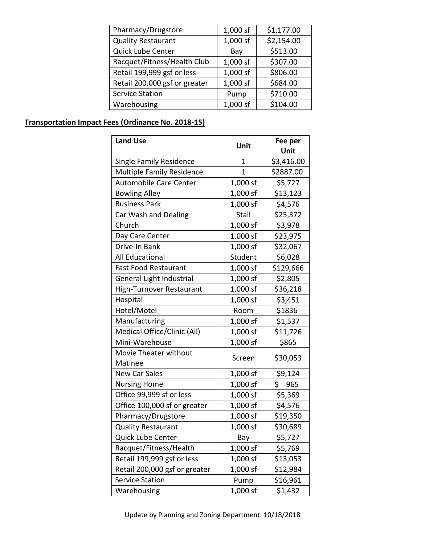| Pharmacy/Drugstore            | 1,000 sf | \$1,177.00 |  |
|-------------------------------|----------|------------|--|
| <b>Quality Restaurant</b>     | 1,000 sf | \$2,154.00 |  |
| Quick Lube Center             | Bay      | \$513.00   |  |
| Racquet/Fitness/Health Club   | 1,000 sf | \$307.00   |  |
| Retail 199,999 gsf or less    | 1,000 sf | \$806.00   |  |
| Retail 200,000 gsf or greater | 1,000 sf | \$684.00   |  |
| <b>Service Station</b>        | Pump     | \$710.00   |  |
| Warehousing                   | 1,000 sf | \$104.00   |  |

## **Transportation Impact Fees (Ordinance No. 2018-15**  $1-1)$

| <b>Land Use</b>                  | Unit         | Fee per<br>Unit |
|----------------------------------|--------------|-----------------|
| <b>Single Family Residence</b>   | 1            | \$3,416.00      |
| <b>Multiple Family Residence</b> | $\mathbf{1}$ | \$2887.00       |
| <b>Automobile Care Center</b>    | 1,000 sf     | \$5,727         |
| <b>Bowling Alley</b>             | 1,000 sf     | \$13,123        |
| <b>Business Park</b>             | 1,000 sf     | \$4,576         |
| Car Wash and Dealing             | Stall        | \$25,372        |
| Church                           | 1,000 sf     | \$3,978         |
| Day Care Center                  | 1,000 sf     | \$23,975        |
| Drive-In Bank                    | 1,000 sf     | \$32,067        |
| All Educational                  | Student      | \$6,028         |
| <b>Fast Food Restaurant</b>      | 1,000 sf     | \$129,666       |
| General Light Industrial         | 1,000 sf     | \$2,805         |
| High-Turnover Restaurant         | 1,000 sf     | \$36,218        |
| Hospital                         | 1,000 sf     | \$3,451         |
| Hotel/Motel                      | Room         | \$1836          |
| Manufacturing                    | 1,000 sf     | \$1,537         |
| Medical Office/Clinic (All)      | 1,000 sf     | \$11,726        |
| Mini-Warehouse                   | 1,000 sf     | \$865           |
| Movie Theater without<br>Matinee | Screen       | \$30,053        |
| <b>New Car Sales</b>             | 1,000 sf     | \$9,124         |
| <b>Nursing Home</b>              | 1,000 sf     | \$<br>965       |
| Office 99,999 sf or less         | 1,000 sf     | \$5,369         |
| Office 100,000 sf or greater     | 1,000 sf     | \$4,576         |
| Pharmacy/Drugstore               | 1,000 sf     | \$19,350        |
| <b>Quality Restaurant</b>        | 1,000 sf     | \$30,689        |
| Quick Lube Center                | Bay          | \$5,727         |
| Racquet/Fitness/Health           | 1,000 sf     | \$5,769         |
| Retail 199,999 gsf or less       | 1,000 sf     | \$13,053        |
| Retail 200,000 gsf or greater    | 1,000 sf     | \$12,984        |
| <b>Service Station</b>           | Pump         | \$16,961        |
| Warehousing                      | 1,000 sf     | \$1,432         |